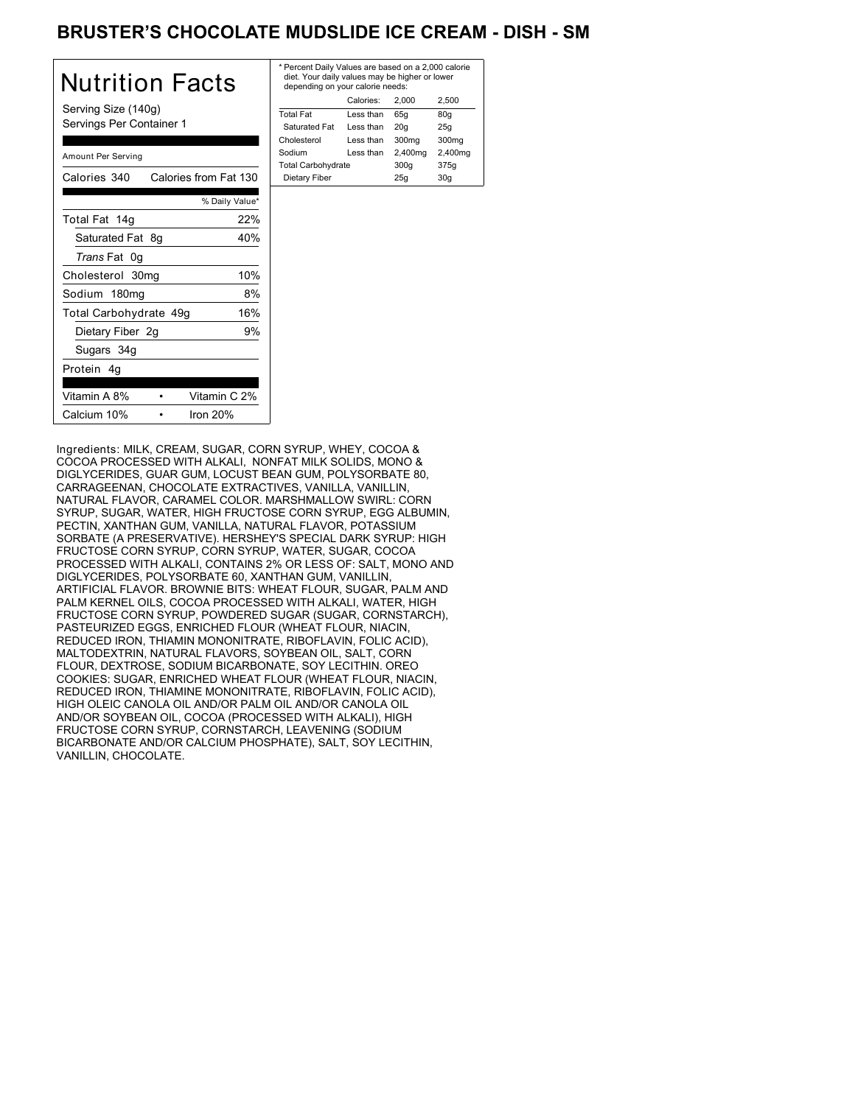# BRUSTER'S CHOCOLATE MUDSLIDE ICE CREAM - DISH - SM

| <b>Nutrition Facts</b>                          | $*$ Pe<br>die<br>de |
|-------------------------------------------------|---------------------|
| Serving Size (140g)<br>Servings Per Container 1 | Tota<br>Sa          |
| Amount Per Serving                              | Cho<br>Soc<br>Tota  |
| Calories 340<br>Calories from Fat 130           | Di                  |
| % Daily Value*                                  |                     |
| 22%<br>Total Fat 14g                            |                     |
| Saturated Fat 8g<br>40%                         |                     |
| Trans Fat 0g                                    |                     |
| 10%<br>Cholesterol 30mg                         |                     |
| 8%<br>Sodium 180mg                              |                     |
| 16%<br>Total Carbohydrate 49g                   |                     |
| 9%<br>Dietary Fiber 2g                          |                     |
| Sugars 34g                                      |                     |
| Protein 4q                                      |                     |
| Vitamin C 2%<br>Vitamin A 8%                    |                     |
| Iron $20%$<br>Calcium 10%                       |                     |

| * Percent Daily Values are based on a 2,000 calorie<br>diet. Your daily values may be higher or lower<br>depending on your calorie needs: |         |                   |  |
|-------------------------------------------------------------------------------------------------------------------------------------------|---------|-------------------|--|
| Calories:<br>2.500<br>2.000                                                                                                               |         |                   |  |
| Less than                                                                                                                                 | 65q     | 80q               |  |
| Less than                                                                                                                                 | 20q     | 25q               |  |
| Less than                                                                                                                                 | 300mg   | 300 <sub>mq</sub> |  |
| Less than                                                                                                                                 | 2,400mg | 2,400mg           |  |
| <b>Total Carbohydrate</b>                                                                                                                 |         | 375g              |  |
| Dietary Fiber<br>25q<br>30q                                                                                                               |         |                   |  |
|                                                                                                                                           |         | 300q              |  |

Ingredients: MILK, CREAM, SUGAR, CORN SYRUP, WHEY, COCOA & COCOA PROCESSED WITH ALKALI, NONFAT MILK SOLIDS, MONO & DIGLYCERIDES, GUAR GUM, LOCUST BEAN GUM, POLYSORBATE 80, CARRAGEENAN, CHOCOLATE EXTRACTIVES, VANILLA, VANILLIN, NATURAL FLAVOR, CARAMEL COLOR. MARSHMALLOW SWIRL: CORN SYRUP, SUGAR, WATER, HIGH FRUCTOSE CORN SYRUP, EGG ALBUMIN, PECTIN, XANTHAN GUM, VANILLA, NATURAL FLAVOR, POTASSIUM SORBATE (A PRESERVATIVE). HERSHEY'S SPECIAL DARK SYRUP: HIGH FRUCTOSE CORN SYRUP, CORN SYRUP, WATER, SUGAR, COCOA PROCESSED WITH ALKALI, CONTAINS 2% OR LESS OF: SALT, MONO AND DIGLYCERIDES, POLYSORBATE 60, XANTHAN GUM, VANILLIN, ARTIFICIAL FLAVOR. BROWNIE BITS: WHEAT FLOUR, SUGAR, PALM AND PALM KERNEL OILS, COCOA PROCESSED WITH ALKALI, WATER, HIGH FRUCTOSE CORN SYRUP, POWDERED SUGAR (SUGAR, CORNSTARCH), PASTEURIZED EGGS, ENRICHED FLOUR (WHEAT FLOUR, NIACIN, REDUCED IRON, THIAMIN MONONITRATE, RIBOFLAVIN, FOLIC ACID), MALTODEXTRIN, NATURAL FLAVORS, SOYBEAN OIL, SALT, CORN FLOUR, DEXTROSE, SODIUM BICARBONATE, SOY LECITHIN. OREO COOKIES: SUGAR, ENRICHED WHEAT FLOUR (WHEAT FLOUR, NIACIN, REDUCED IRON, THIAMINE MONONITRATE, RIBOFLAVIN, FOLIC ACID), HIGH OLEIC CANOLA OIL AND/OR PALM OIL AND/OR CANOLA OIL AND/OR SOYBEAN OIL, COCOA (PROCESSED WITH ALKALI), HIGH FRUCTOSE CORN SYRUP, CORNSTARCH, LEAVENING (SODIUM BICARBONATE AND/OR CALCIUM PHOSPHATE), SALT, SOY LECITHIN, VANILLIN, CHOCOLATE.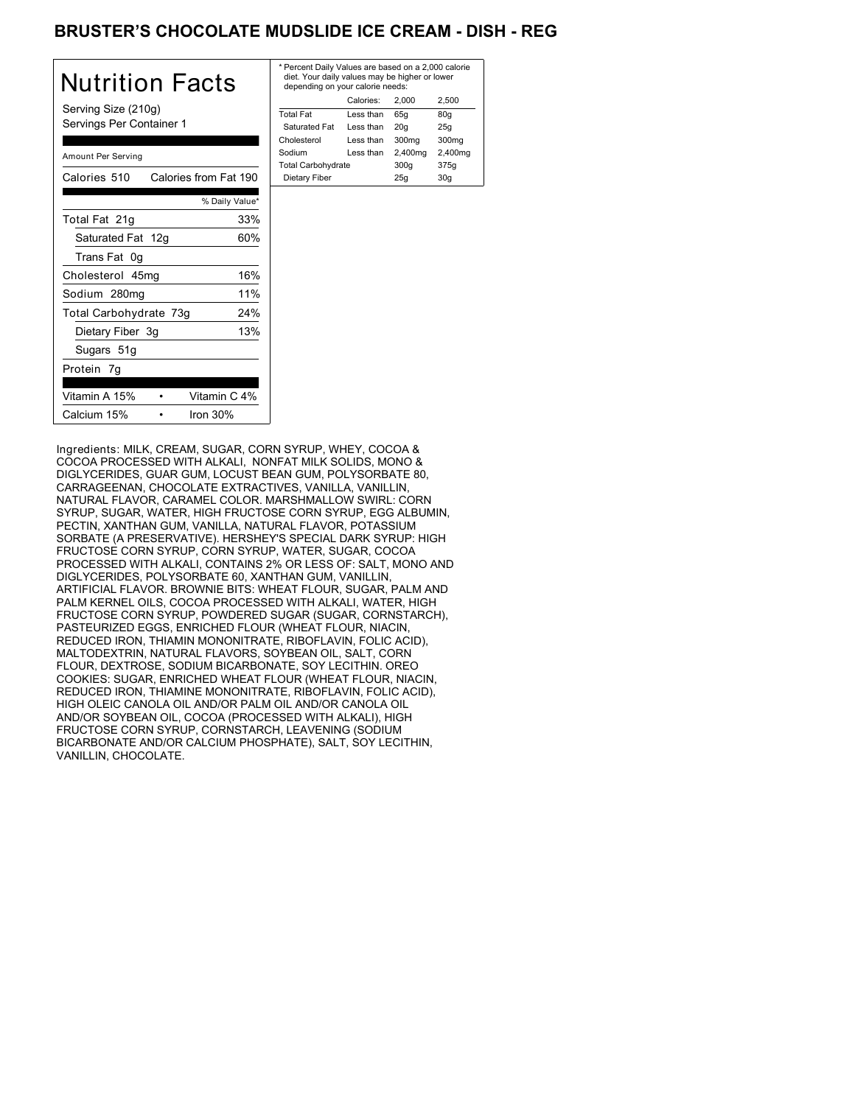# BRUSTER'S CHOCOLATE MUDSLIDE ICE CREAM - DISH - REG

| Nutrition Facts                                 | * Pe<br>die<br>de |
|-------------------------------------------------|-------------------|
| Serving Size (210g)<br>Servings Per Container 1 | Tota<br>Sa<br>Cho |
| Amount Per Serving                              | Sod<br>Tota       |
| Calories 510 Calories from Fat 190              | Die               |
| % Daily Value*                                  |                   |
| 33%<br>Total Fat 21g                            |                   |
| 60%<br>Saturated Fat 12g                        |                   |
| Trans Fat 0g                                    |                   |
| 16%<br>Cholesterol 45mg                         |                   |
| 11%<br>Sodium 280mg                             |                   |
| Total Carbohydrate 73g<br>24%                   |                   |
| 13%<br>Dietary Fiber 3g                         |                   |
| Sugars 51g                                      |                   |
| Protein 7g                                      |                   |
| Vitamin A 15%<br>Vitamin C 4%                   |                   |
| Iron 30%<br>Calcium 15%                         |                   |

| * Percent Daily Values are based on a 2,000 calorie<br>diet. Your daily values may be higher or lower<br>depending on your calorie needs: |         |         |  |  |
|-------------------------------------------------------------------------------------------------------------------------------------------|---------|---------|--|--|
| Calories:<br>2.500<br>2.000                                                                                                               |         |         |  |  |
| Less than                                                                                                                                 | 65q     | 80q     |  |  |
| Less than                                                                                                                                 | 20q     | 25q     |  |  |
| I ess than                                                                                                                                | 300mg   | 300mg   |  |  |
| Less than                                                                                                                                 | 2,400mg | 2,400mg |  |  |
| <b>Total Carbohydrate</b>                                                                                                                 |         | 375g    |  |  |
| Dietary Fiber<br>30q<br>25q                                                                                                               |         |         |  |  |
|                                                                                                                                           |         | 300q    |  |  |

Ingredients: MILK, CREAM, SUGAR, CORN SYRUP, WHEY, COCOA & COCOA PROCESSED WITH ALKALI, NONFAT MILK SOLIDS, MONO & DIGLYCERIDES, GUAR GUM, LOCUST BEAN GUM, POLYSORBATE 80, CARRAGEENAN, CHOCOLATE EXTRACTIVES, VANILLA, VANILLIN, NATURAL FLAVOR, CARAMEL COLOR. MARSHMALLOW SWIRL: CORN SYRUP, SUGAR, WATER, HIGH FRUCTOSE CORN SYRUP, EGG ALBUMIN, PECTIN, XANTHAN GUM, VANILLA, NATURAL FLAVOR, POTASSIUM SORBATE (A PRESERVATIVE). HERSHEY'S SPECIAL DARK SYRUP: HIGH FRUCTOSE CORN SYRUP, CORN SYRUP, WATER, SUGAR, COCOA PROCESSED WITH ALKALI, CONTAINS 2% OR LESS OF: SALT, MONO AND DIGLYCERIDES, POLYSORBATE 60, XANTHAN GUM, VANILLIN, ARTIFICIAL FLAVOR. BROWNIE BITS: WHEAT FLOUR, SUGAR, PALM AND PALM KERNEL OILS, COCOA PROCESSED WITH ALKALI, WATER, HIGH FRUCTOSE CORN SYRUP, POWDERED SUGAR (SUGAR, CORNSTARCH), PASTEURIZED EGGS, ENRICHED FLOUR (WHEAT FLOUR, NIACIN, REDUCED IRON, THIAMIN MONONITRATE, RIBOFLAVIN, FOLIC ACID), MALTODEXTRIN, NATURAL FLAVORS, SOYBEAN OIL, SALT, CORN FLOUR, DEXTROSE, SODIUM BICARBONATE, SOY LECITHIN. OREO COOKIES: SUGAR, ENRICHED WHEAT FLOUR (WHEAT FLOUR, NIACIN, REDUCED IRON, THIAMINE MONONITRATE, RIBOFLAVIN, FOLIC ACID), HIGH OLEIC CANOLA OIL AND/OR PALM OIL AND/OR CANOLA OIL AND/OR SOYBEAN OIL, COCOA (PROCESSED WITH ALKALI), HIGH FRUCTOSE CORN SYRUP, CORNSTARCH, LEAVENING (SODIUM BICARBONATE AND/OR CALCIUM PHOSPHATE), SALT, SOY LECITHIN, VANILLIN, CHOCOLATE.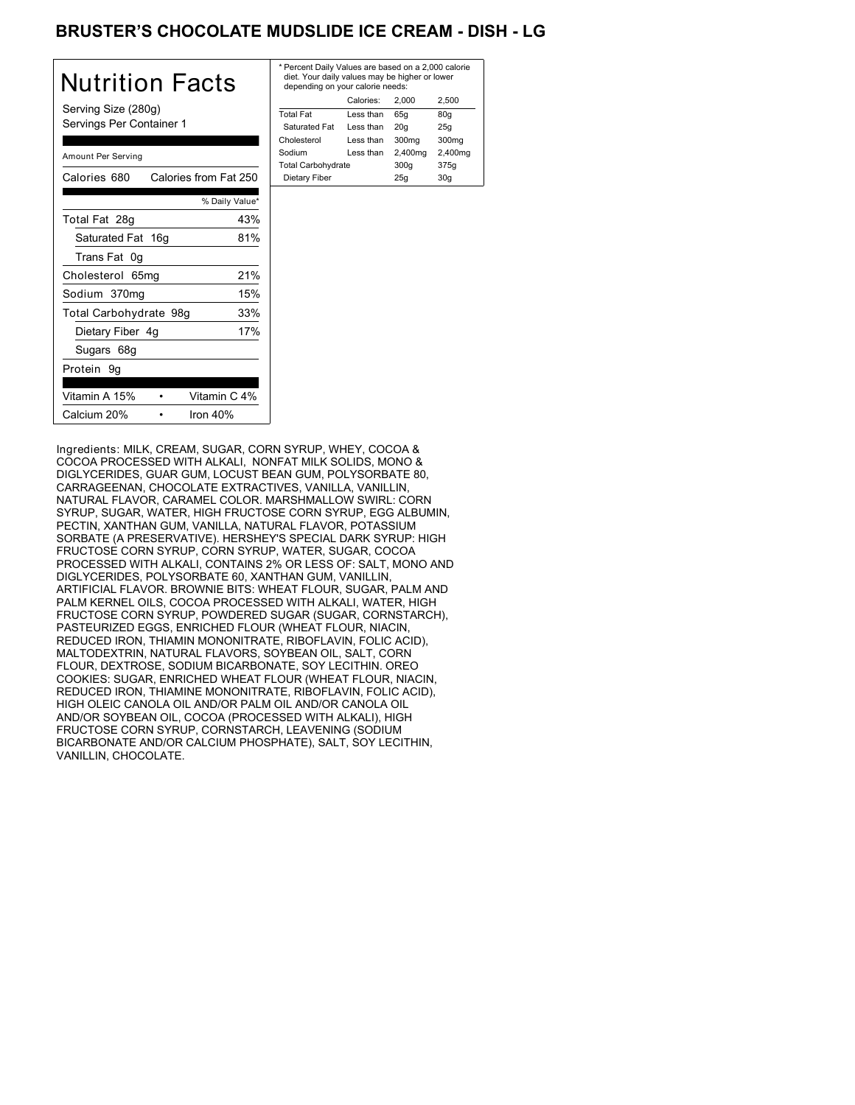# BRUSTER'S CHOCOLATE MUDSLIDE ICE CREAM - DISH - LG

| Nutrition Facts                                 | * F<br>c<br>d |
|-------------------------------------------------|---------------|
| Serving Size (280g)<br>Servings Per Container 1 | To<br>Ś<br>Cł |
| Amount Per Serving                              | Sc<br>Tc      |
| Calories from Fat 250<br>Calories 680           | D             |
| % Daily Value*                                  |               |
| 43%<br>Total Fat 28g                            |               |
| 81%<br>Saturated Fat 16g                        |               |
| Trans Fat 0g                                    |               |
| 21%<br>Cholesterol 65mg                         |               |
| 15%<br>Sodium 370mg                             |               |
| Total Carbohydrate 98g<br>33%                   |               |
| 17%<br>Dietary Fiber 4g                         |               |
| Sugars 68g                                      |               |
| Protein 9g                                      |               |
| Vitamin A 15%<br>Vitamin C 4%                   |               |
| Calcium 20%<br>Iron $40%$                       |               |

| * Percent Daily Values are based on a 2,000 calorie<br>diet. Your daily values may be higher or lower<br>depending on your calorie needs: |         |         |  |  |
|-------------------------------------------------------------------------------------------------------------------------------------------|---------|---------|--|--|
| Calories:<br>2.500<br>2.000                                                                                                               |         |         |  |  |
| Less than                                                                                                                                 | 65q     | 80q     |  |  |
| Less than                                                                                                                                 | 20q     | 25q     |  |  |
| Less than                                                                                                                                 | 300mg   | 300mg   |  |  |
| Less than                                                                                                                                 | 2,400mg | 2,400mg |  |  |
| <b>Total Carbohydrate</b>                                                                                                                 |         | 375g    |  |  |
|                                                                                                                                           | 25q     | 30a     |  |  |
|                                                                                                                                           |         | 300q    |  |  |

Ingredients: MILK, CREAM, SUGAR, CORN SYRUP, WHEY, COCOA & COCOA PROCESSED WITH ALKALI, NONFAT MILK SOLIDS, MONO & DIGLYCERIDES, GUAR GUM, LOCUST BEAN GUM, POLYSORBATE 80, CARRAGEENAN, CHOCOLATE EXTRACTIVES, VANILLA, VANILLIN, NATURAL FLAVOR, CARAMEL COLOR. MARSHMALLOW SWIRL: CORN SYRUP, SUGAR, WATER, HIGH FRUCTOSE CORN SYRUP, EGG ALBUMIN, PECTIN, XANTHAN GUM, VANILLA, NATURAL FLAVOR, POTASSIUM SORBATE (A PRESERVATIVE). HERSHEY'S SPECIAL DARK SYRUP: HIGH FRUCTOSE CORN SYRUP, CORN SYRUP, WATER, SUGAR, COCOA PROCESSED WITH ALKALI, CONTAINS 2% OR LESS OF: SALT, MONO AND DIGLYCERIDES, POLYSORBATE 60, XANTHAN GUM, VANILLIN, ARTIFICIAL FLAVOR. BROWNIE BITS: WHEAT FLOUR, SUGAR, PALM AND PALM KERNEL OILS, COCOA PROCESSED WITH ALKALI, WATER, HIGH FRUCTOSE CORN SYRUP, POWDERED SUGAR (SUGAR, CORNSTARCH), PASTEURIZED EGGS, ENRICHED FLOUR (WHEAT FLOUR, NIACIN, REDUCED IRON, THIAMIN MONONITRATE, RIBOFLAVIN, FOLIC ACID), MALTODEXTRIN, NATURAL FLAVORS, SOYBEAN OIL, SALT, CORN FLOUR, DEXTROSE, SODIUM BICARBONATE, SOY LECITHIN. OREO COOKIES: SUGAR, ENRICHED WHEAT FLOUR (WHEAT FLOUR, NIACIN, REDUCED IRON, THIAMINE MONONITRATE, RIBOFLAVIN, FOLIC ACID), HIGH OLEIC CANOLA OIL AND/OR PALM OIL AND/OR CANOLA OIL AND/OR SOYBEAN OIL, COCOA (PROCESSED WITH ALKALI), HIGH FRUCTOSE CORN SYRUP, CORNSTARCH, LEAVENING (SODIUM BICARBONATE AND/OR CALCIUM PHOSPHATE), SALT, SOY LECITHIN, VANILLIN, CHOCOLATE.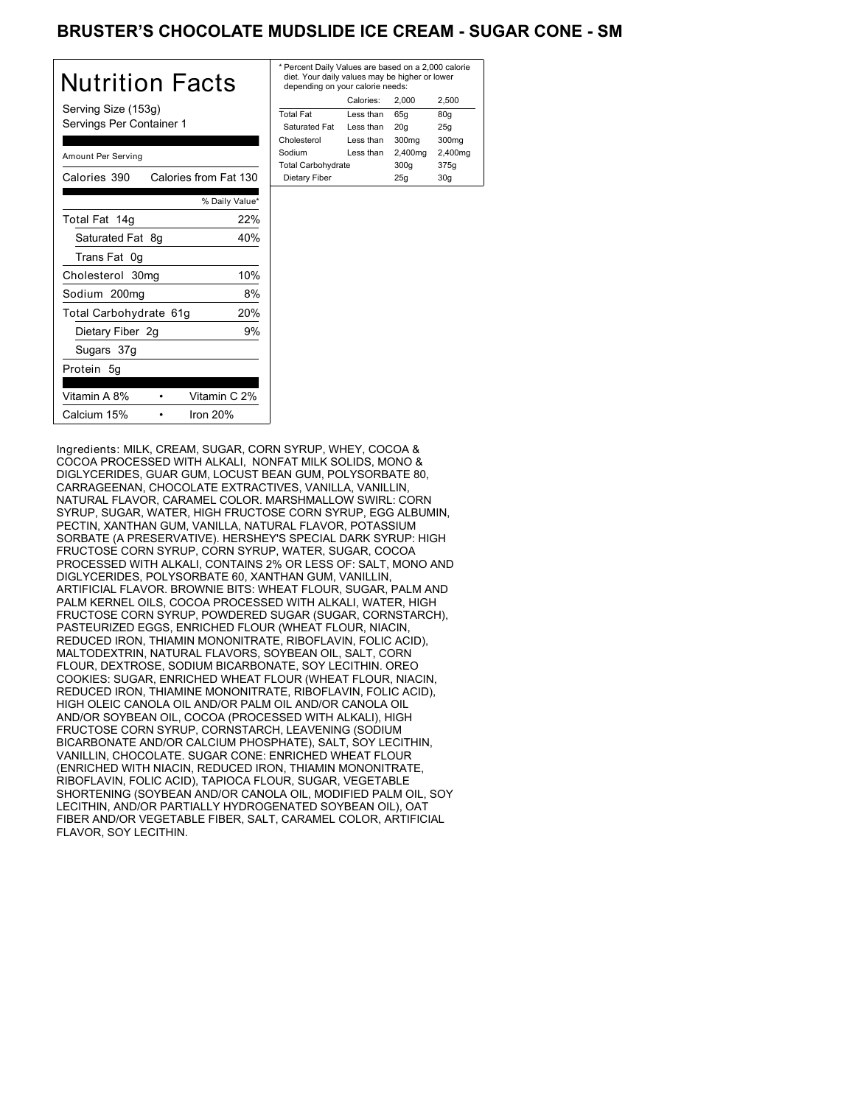## BRUSTER'S CHOCOLATE MUDSLIDE ICE CREAM - SUGAR CONE - SM

| Nutrition Facts                                 | $*$ Pe<br>die<br>de |
|-------------------------------------------------|---------------------|
| Serving Size (153g)<br>Servings Per Container 1 | Tota<br>Sε<br>Cho   |
| Amount Per Serving                              | Soc<br>Tota         |
| Calories from Fat 130<br>Calories 390           | Di                  |
| % Daily Value*                                  |                     |
| 22%<br>Total Fat 14g                            |                     |
| Saturated Fat 8g<br>40%                         |                     |
| Trans Fat 0g                                    |                     |
| 10%<br>Cholesterol 30mg                         |                     |
| 8%<br>Sodium 200mg                              |                     |
| 20%<br>Total Carbohydrate 61g                   |                     |
| 9%<br>Dietary Fiber 2g                          |                     |
| Sugars 37g                                      |                     |
| Protein 5g                                      |                     |
| Vitamin C 2%<br>Vitamin A 8%                    |                     |
| Calcium 15%<br>Iron $20%$                       |                     |

| * Percent Daily Values are based on a 2,000 calorie<br>diet. Your daily values may be higher or lower<br>depending on your calorie needs: |           |         |         |
|-------------------------------------------------------------------------------------------------------------------------------------------|-----------|---------|---------|
|                                                                                                                                           | Calories: | 2.000   | 2.500   |
| <b>Total Fat</b>                                                                                                                          | Less than | 65q     | 80q     |
| Saturated Fat                                                                                                                             | Less than | 20q     | 25q     |
| Cholesterol                                                                                                                               | Less than | 300mg   | 300mg   |
| Sodium                                                                                                                                    | Less than | 2,400mg | 2,400mg |
| <b>Total Carbohydrate</b>                                                                                                                 |           | 300q    | 375g    |
| Dietary Fiber<br>25q<br>30q                                                                                                               |           |         |         |
|                                                                                                                                           |           |         |         |

Ingredients: MILK, CREAM, SUGAR, CORN SYRUP, WHEY, COCOA & COCOA PROCESSED WITH ALKALI, NONFAT MILK SOLIDS, MONO & DIGLYCERIDES, GUAR GUM, LOCUST BEAN GUM, POLYSORBATE 80, CARRAGEENAN, CHOCOLATE EXTRACTIVES, VANILLA, VANILLIN, NATURAL FLAVOR, CARAMEL COLOR. MARSHMALLOW SWIRL: CORN SYRUP, SUGAR, WATER, HIGH FRUCTOSE CORN SYRUP, EGG ALBUMIN, PECTIN, XANTHAN GUM, VANILLA, NATURAL FLAVOR, POTASSIUM SORBATE (A PRESERVATIVE). HERSHEY'S SPECIAL DARK SYRUP: HIGH FRUCTOSE CORN SYRUP, CORN SYRUP, WATER, SUGAR, COCOA PROCESSED WITH ALKALI, CONTAINS 2% OR LESS OF: SALT, MONO AND DIGLYCERIDES, POLYSORBATE 60, XANTHAN GUM, VANILLIN, ARTIFICIAL FLAVOR. BROWNIE BITS: WHEAT FLOUR, SUGAR, PALM AND PALM KERNEL OILS, COCOA PROCESSED WITH ALKALI, WATER, HIGH FRUCTOSE CORN SYRUP, POWDERED SUGAR (SUGAR, CORNSTARCH), PASTEURIZED EGGS, ENRICHED FLOUR (WHEAT FLOUR, NIACIN, REDUCED IRON, THIAMIN MONONITRATE, RIBOFLAVIN, FOLIC ACID), MALTODEXTRIN, NATURAL FLAVORS, SOYBEAN OIL, SALT, CORN FLOUR, DEXTROSE, SODIUM BICARBONATE, SOY LECITHIN. OREO COOKIES: SUGAR, ENRICHED WHEAT FLOUR (WHEAT FLOUR, NIACIN, REDUCED IRON, THIAMINE MONONITRATE, RIBOFLAVIN, FOLIC ACID), HIGH OLEIC CANOLA OIL AND/OR PALM OIL AND/OR CANOLA OIL AND/OR SOYBEAN OIL, COCOA (PROCESSED WITH ALKALI), HIGH FRUCTOSE CORN SYRUP, CORNSTARCH, LEAVENING (SODIUM BICARBONATE AND/OR CALCIUM PHOSPHATE), SALT, SOY LECITHIN, VANILLIN, CHOCOLATE. SUGAR CONE: ENRICHED WHEAT FLOUR (ENRICHED WITH NIACIN, REDUCED IRON, THIAMIN MONONITRATE, RIBOFLAVIN, FOLIC ACID), TAPIOCA FLOUR, SUGAR, VEGETABLE SHORTENING (SOYBEAN AND/OR CANOLA OIL, MODIFIED PALM OIL, SOY LECITHIN, AND/OR PARTIALLY HYDROGENATED SOYBEAN OIL), OAT FIBER AND/OR VEGETABLE FIBER, SALT, CARAMEL COLOR, ARTIFICIAL FLAVOR, SOY LECITHIN.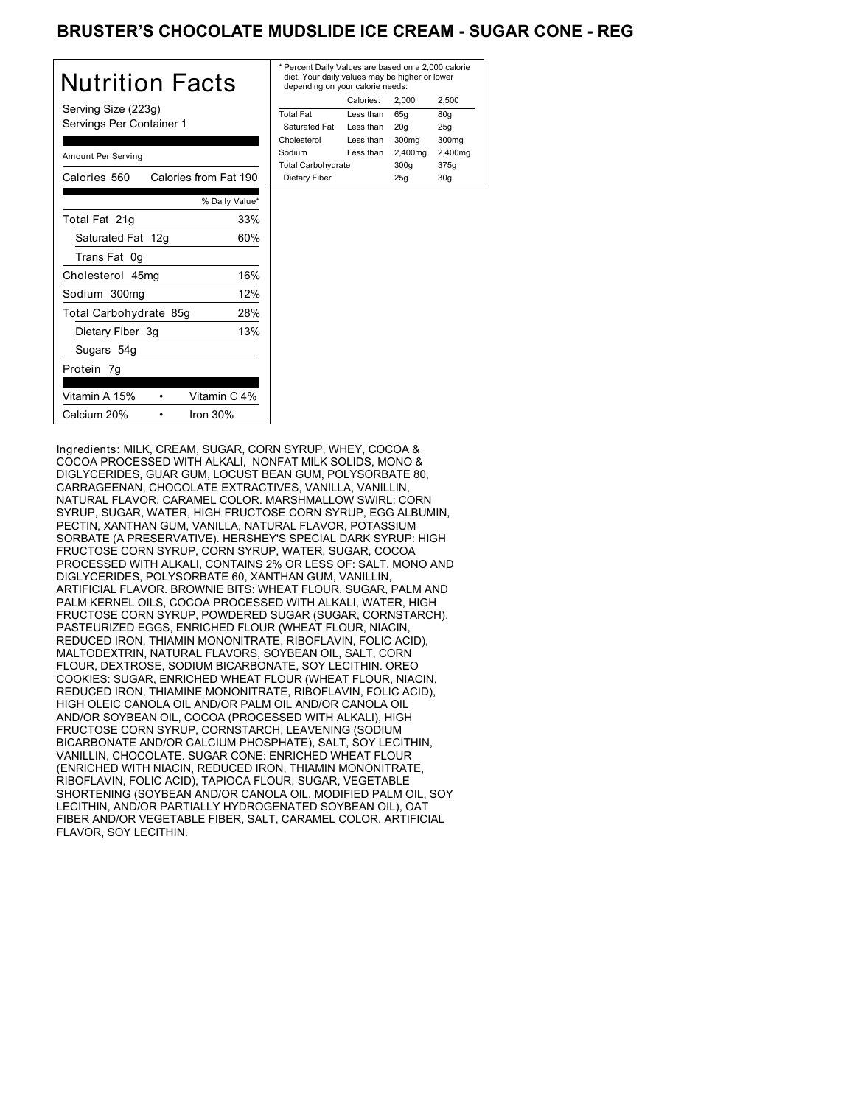# BRUSTER'S CHOCOLATE MUDSLIDE ICE CREAM - SUGAR CONE - REG

| Nutrition Facts                                 | * Pe<br>die<br>de |
|-------------------------------------------------|-------------------|
| Serving Size (223g)<br>Servings Per Container 1 | Tota<br>Sa<br>Cho |
| Amount Per Serving                              | Sod<br>Tota       |
| Calories from Fat 190<br>Calories 560           | Die               |
| % Daily Value*                                  |                   |
| 33%<br>Total Fat 21g                            |                   |
| 60%<br>Saturated Fat 12g                        |                   |
| Trans Fat 0g                                    |                   |
| 16%<br>Cholesterol 45mg                         |                   |
| 12%<br>Sodium 300mg                             |                   |
| Total Carbohydrate 85g<br>28%                   |                   |
| 13%<br>Dietary Fiber 3g                         |                   |
| Sugars 54g                                      |                   |
| Protein 7g                                      |                   |
| Vitamin C 4%<br>Vitamin A 15%                   |                   |
| Calcium 20%<br>Iron $30%$                       |                   |

| * Percent Daily Values are based on a 2,000 calorie<br>diet. Your daily values may be higher or lower<br>depending on your calorie needs: |           |         |                   |
|-------------------------------------------------------------------------------------------------------------------------------------------|-----------|---------|-------------------|
|                                                                                                                                           | Calories: | 2.000   | 2.500             |
| <b>Total Fat</b>                                                                                                                          | Less than | 65q     | 80q               |
| Saturated Fat                                                                                                                             | Less than | 20q     | 25q               |
| Cholesterol                                                                                                                               | Less than | 300mg   | 300 <sub>mq</sub> |
| Sodium                                                                                                                                    | Less than | 2,400mg | 2,400mg           |
| <b>Total Carbohydrate</b>                                                                                                                 |           | 300q    | 375g              |
| Dietary Fiber<br>30q<br>25q                                                                                                               |           |         |                   |
|                                                                                                                                           |           |         |                   |

Ingredients: MILK, CREAM, SUGAR, CORN SYRUP, WHEY, COCOA & COCOA PROCESSED WITH ALKALI, NONFAT MILK SOLIDS, MONO & DIGLYCERIDES, GUAR GUM, LOCUST BEAN GUM, POLYSORBATE 80, CARRAGEENAN, CHOCOLATE EXTRACTIVES, VANILLA, VANILLIN, NATURAL FLAVOR, CARAMEL COLOR. MARSHMALLOW SWIRL: CORN SYRUP, SUGAR, WATER, HIGH FRUCTOSE CORN SYRUP, EGG ALBUMIN, PECTIN, XANTHAN GUM, VANILLA, NATURAL FLAVOR, POTASSIUM SORBATE (A PRESERVATIVE). HERSHEY'S SPECIAL DARK SYRUP: HIGH FRUCTOSE CORN SYRUP, CORN SYRUP, WATER, SUGAR, COCOA PROCESSED WITH ALKALI, CONTAINS 2% OR LESS OF: SALT, MONO AND DIGLYCERIDES, POLYSORBATE 60, XANTHAN GUM, VANILLIN, ARTIFICIAL FLAVOR. BROWNIE BITS: WHEAT FLOUR, SUGAR, PALM AND PALM KERNEL OILS, COCOA PROCESSED WITH ALKALI, WATER, HIGH FRUCTOSE CORN SYRUP, POWDERED SUGAR (SUGAR, CORNSTARCH), PASTEURIZED EGGS, ENRICHED FLOUR (WHEAT FLOUR, NIACIN, REDUCED IRON, THIAMIN MONONITRATE, RIBOFLAVIN, FOLIC ACID), MALTODEXTRIN, NATURAL FLAVORS, SOYBEAN OIL, SALT, CORN FLOUR, DEXTROSE, SODIUM BICARBONATE, SOY LECITHIN. OREO COOKIES: SUGAR, ENRICHED WHEAT FLOUR (WHEAT FLOUR, NIACIN, REDUCED IRON, THIAMINE MONONITRATE, RIBOFLAVIN, FOLIC ACID), HIGH OLEIC CANOLA OIL AND/OR PALM OIL AND/OR CANOLA OIL AND/OR SOYBEAN OIL, COCOA (PROCESSED WITH ALKALI), HIGH FRUCTOSE CORN SYRUP, CORNSTARCH, LEAVENING (SODIUM BICARBONATE AND/OR CALCIUM PHOSPHATE), SALT, SOY LECITHIN, VANILLIN, CHOCOLATE. SUGAR CONE: ENRICHED WHEAT FLOUR (ENRICHED WITH NIACIN, REDUCED IRON, THIAMIN MONONITRATE, RIBOFLAVIN, FOLIC ACID), TAPIOCA FLOUR, SUGAR, VEGETABLE SHORTENING (SOYBEAN AND/OR CANOLA OIL, MODIFIED PALM OIL, SOY LECITHIN, AND/OR PARTIALLY HYDROGENATED SOYBEAN OIL), OAT FIBER AND/OR VEGETABLE FIBER, SALT, CARAMEL COLOR, ARTIFICIAL FLAVOR, SOY LECITHIN.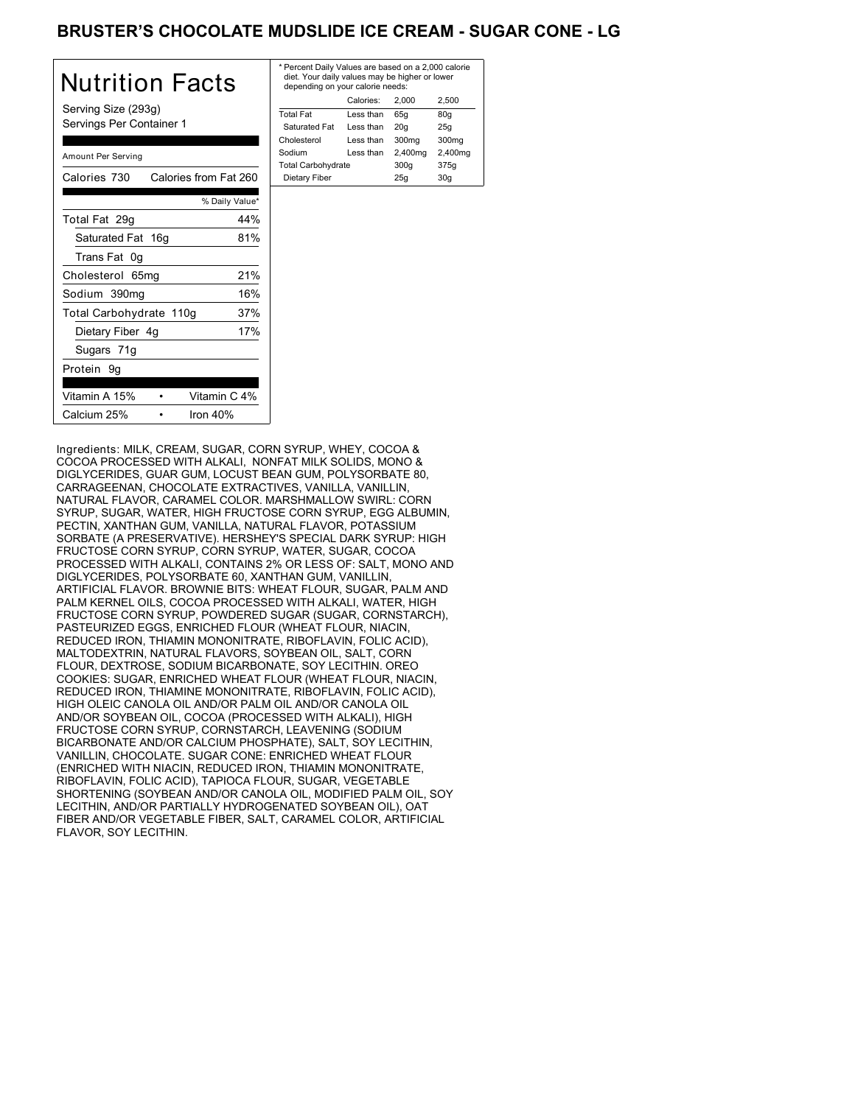# BRUSTER'S CHOCOLATE MUDSLIDE ICE CREAM - SUGAR CONE - LG

| Nutrition Facts<br>Serving Size (293g)<br>Servings Per Container 1 |                | * F<br>d<br>d<br>Tη |
|--------------------------------------------------------------------|----------------|---------------------|
|                                                                    |                | S<br>Ch             |
| Amount Per Serving                                                 |                | So<br>Тο            |
| Calories from Fat 260<br>Calories 730                              |                | D                   |
|                                                                    | % Daily Value* |                     |
| Total Fat 29g                                                      | 44%            |                     |
| Saturated Fat 16g                                                  | 81%            |                     |
| Trans Fat 0q                                                       |                |                     |
| Cholesterol 65mg                                                   | 21%            |                     |
| Sodium 390mg                                                       | 16%            |                     |
| Total Carbohydrate 110g                                            | 37%            |                     |
| Dietary Fiber 4g                                                   | 17%            |                     |
| Sugars 71g                                                         |                |                     |
| Protein 9g                                                         |                |                     |
| Vitamin C 4%<br>Vitamin A 15%                                      |                |                     |
| Calcium 25%<br>Iron $40%$                                          |                |                     |

| * Percent Daily Values are based on a 2,000 calorie<br>diet. Your daily values may be higher or lower<br>depending on your calorie needs: |           |         |         |  |
|-------------------------------------------------------------------------------------------------------------------------------------------|-----------|---------|---------|--|
| Calories:<br>2.500<br>2.000                                                                                                               |           |         |         |  |
| <b>Total Fat</b>                                                                                                                          | Less than | 65q     | 80q     |  |
| Saturated Fat                                                                                                                             | Less than | 20q     | 25q     |  |
| Cholesterol                                                                                                                               | Less than | 300mg   | 300mg   |  |
| Sodium                                                                                                                                    | Less than | 2,400mg | 2,400mg |  |
| <b>Total Carbohydrate</b>                                                                                                                 |           | 300q    | 375g    |  |
| Dietary Fiber<br>30q<br>25q                                                                                                               |           |         |         |  |
|                                                                                                                                           |           |         |         |  |

Ingredients: MILK, CREAM, SUGAR, CORN SYRUP, WHEY, COCOA & COCOA PROCESSED WITH ALKALI, NONFAT MILK SOLIDS, MONO & DIGLYCERIDES, GUAR GUM, LOCUST BEAN GUM, POLYSORBATE 80, CARRAGEENAN, CHOCOLATE EXTRACTIVES, VANILLA, VANILLIN, NATURAL FLAVOR, CARAMEL COLOR. MARSHMALLOW SWIRL: CORN SYRUP, SUGAR, WATER, HIGH FRUCTOSE CORN SYRUP, EGG ALBUMIN, PECTIN, XANTHAN GUM, VANILLA, NATURAL FLAVOR, POTASSIUM SORBATE (A PRESERVATIVE). HERSHEY'S SPECIAL DARK SYRUP: HIGH FRUCTOSE CORN SYRUP, CORN SYRUP, WATER, SUGAR, COCOA PROCESSED WITH ALKALI, CONTAINS 2% OR LESS OF: SALT, MONO AND DIGLYCERIDES, POLYSORBATE 60, XANTHAN GUM, VANILLIN, ARTIFICIAL FLAVOR. BROWNIE BITS: WHEAT FLOUR, SUGAR, PALM AND PALM KERNEL OILS, COCOA PROCESSED WITH ALKALI, WATER, HIGH FRUCTOSE CORN SYRUP, POWDERED SUGAR (SUGAR, CORNSTARCH), PASTEURIZED EGGS, ENRICHED FLOUR (WHEAT FLOUR, NIACIN, REDUCED IRON, THIAMIN MONONITRATE, RIBOFLAVIN, FOLIC ACID), MALTODEXTRIN, NATURAL FLAVORS, SOYBEAN OIL, SALT, CORN FLOUR, DEXTROSE, SODIUM BICARBONATE, SOY LECITHIN. OREO COOKIES: SUGAR, ENRICHED WHEAT FLOUR (WHEAT FLOUR, NIACIN, REDUCED IRON, THIAMINE MONONITRATE, RIBOFLAVIN, FOLIC ACID), HIGH OLEIC CANOLA OIL AND/OR PALM OIL AND/OR CANOLA OIL AND/OR SOYBEAN OIL, COCOA (PROCESSED WITH ALKALI), HIGH FRUCTOSE CORN SYRUP, CORNSTARCH, LEAVENING (SODIUM BICARBONATE AND/OR CALCIUM PHOSPHATE), SALT, SOY LECITHIN, VANILLIN, CHOCOLATE. SUGAR CONE: ENRICHED WHEAT FLOUR (ENRICHED WITH NIACIN, REDUCED IRON, THIAMIN MONONITRATE, RIBOFLAVIN, FOLIC ACID), TAPIOCA FLOUR, SUGAR, VEGETABLE SHORTENING (SOYBEAN AND/OR CANOLA OIL, MODIFIED PALM OIL, SOY LECITHIN, AND/OR PARTIALLY HYDROGENATED SOYBEAN OIL), OAT FIBER AND/OR VEGETABLE FIBER, SALT, CARAMEL COLOR, ARTIFICIAL FLAVOR, SOY LECITHIN.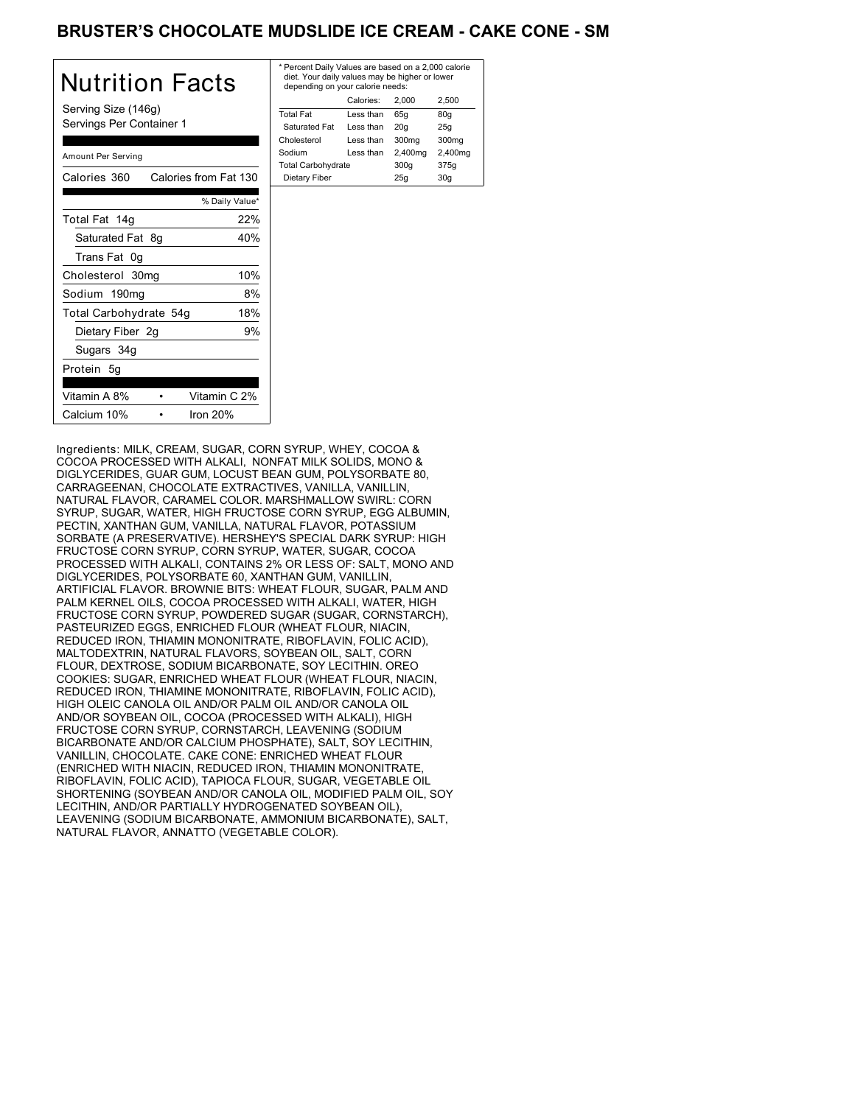## BRUSTER'S CHOCOLATE MUDSLIDE ICE CREAM - CAKE CONE - SM

| Nutrition Facts                                 | $*$ Pe<br>die<br>de |
|-------------------------------------------------|---------------------|
| Serving Size (146g)<br>Servings Per Container 1 | Tota<br>Sa<br>Chc   |
| Amount Per Serving                              | Sod<br>Tota         |
| Calories 360 Calories from Fat 130              | D <sub>i</sub>      |
| % Daily Value*                                  |                     |
| 22%<br>Total Fat 14g                            |                     |
| Saturated Fat 8g<br>40%                         |                     |
| Trans Fat 0g                                    |                     |
| 10%<br>Cholesterol 30mg                         |                     |
| 8%<br>Sodium 190mg                              |                     |
| 18%<br>Total Carbohydrate 54g                   |                     |
| 9%<br>Dietary Fiber 2g                          |                     |
| Sugars 34g                                      |                     |
| Protein 5q                                      |                     |
| Vitamin A 8%<br>Vitamin C 2%                    |                     |
| Iron 20%<br>Calcium 10%                         |                     |

| * Percent Daily Values are based on a 2,000 calorie<br>diet. Your daily values may be higher or lower<br>depending on your calorie needs: |           |         |                   |
|-------------------------------------------------------------------------------------------------------------------------------------------|-----------|---------|-------------------|
|                                                                                                                                           | Calories: | 2.000   | 2.500             |
| <b>Total Fat</b>                                                                                                                          | Less than | 65q     | 80q               |
| Saturated Fat                                                                                                                             | Less than | 20q     | 25q               |
| Cholesterol                                                                                                                               | Less than | 300mg   | 300 <sub>mq</sub> |
| Sodium                                                                                                                                    | Less than | 2,400mg | 2,400mg           |
| <b>Total Carbohydrate</b>                                                                                                                 |           | 300q    | 375g              |
| Dietary Fiber                                                                                                                             |           | 25q     | 30q               |
|                                                                                                                                           |           |         |                   |

Ingredients: MILK, CREAM, SUGAR, CORN SYRUP, WHEY, COCOA & COCOA PROCESSED WITH ALKALI, NONFAT MILK SOLIDS, MONO & DIGLYCERIDES, GUAR GUM, LOCUST BEAN GUM, POLYSORBATE 80, CARRAGEENAN, CHOCOLATE EXTRACTIVES, VANILLA, VANILLIN, NATURAL FLAVOR, CARAMEL COLOR. MARSHMALLOW SWIRL: CORN SYRUP, SUGAR, WATER, HIGH FRUCTOSE CORN SYRUP, EGG ALBUMIN, PECTIN, XANTHAN GUM, VANILLA, NATURAL FLAVOR, POTASSIUM SORBATE (A PRESERVATIVE). HERSHEY'S SPECIAL DARK SYRUP: HIGH FRUCTOSE CORN SYRUP, CORN SYRUP, WATER, SUGAR, COCOA PROCESSED WITH ALKALI, CONTAINS 2% OR LESS OF: SALT, MONO AND DIGLYCERIDES, POLYSORBATE 60, XANTHAN GUM, VANILLIN, ARTIFICIAL FLAVOR. BROWNIE BITS: WHEAT FLOUR, SUGAR, PALM AND PALM KERNEL OILS, COCOA PROCESSED WITH ALKALI, WATER, HIGH FRUCTOSE CORN SYRUP, POWDERED SUGAR (SUGAR, CORNSTARCH), PASTEURIZED EGGS, ENRICHED FLOUR (WHEAT FLOUR, NIACIN, REDUCED IRON, THIAMIN MONONITRATE, RIBOFLAVIN, FOLIC ACID), MALTODEXTRIN, NATURAL FLAVORS, SOYBEAN OIL, SALT, CORN FLOUR, DEXTROSE, SODIUM BICARBONATE, SOY LECITHIN. OREO COOKIES: SUGAR, ENRICHED WHEAT FLOUR (WHEAT FLOUR, NIACIN, REDUCED IRON, THIAMINE MONONITRATE, RIBOFLAVIN, FOLIC ACID), HIGH OLEIC CANOLA OIL AND/OR PALM OIL AND/OR CANOLA OIL AND/OR SOYBEAN OIL, COCOA (PROCESSED WITH ALKALI), HIGH FRUCTOSE CORN SYRUP, CORNSTARCH, LEAVENING (SODIUM BICARBONATE AND/OR CALCIUM PHOSPHATE), SALT, SOY LECITHIN, VANILLIN, CHOCOLATE. CAKE CONE: ENRICHED WHEAT FLOUR (ENRICHED WITH NIACIN, REDUCED IRON, THIAMIN MONONITRATE, RIBOFLAVIN, FOLIC ACID), TAPIOCA FLOUR, SUGAR, VEGETABLE OIL SHORTENING (SOYBEAN AND/OR CANOLA OIL, MODIFIED PALM OIL, SOY LECITHIN, AND/OR PARTIALLY HYDROGENATED SOYBEAN OIL), LEAVENING (SODIUM BICARBONATE, AMMONIUM BICARBONATE), SALT, NATURAL FLAVOR, ANNATTO (VEGETABLE COLOR).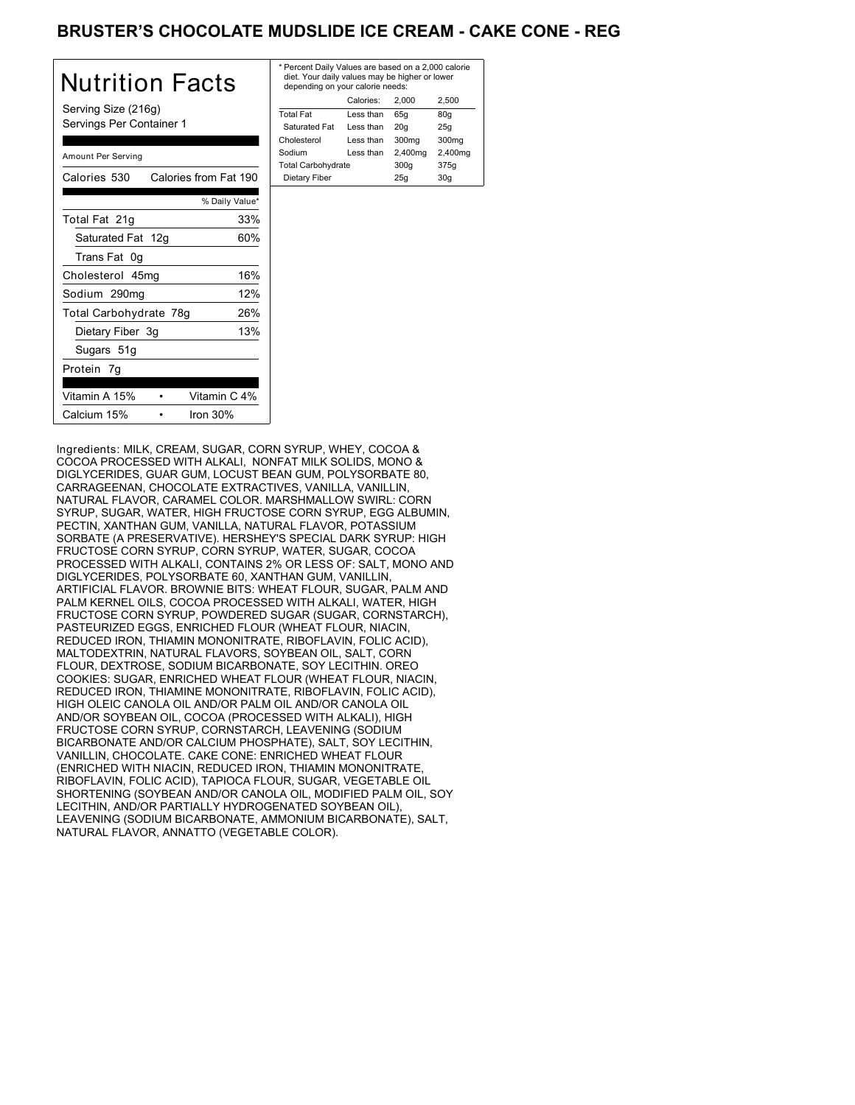# BRUSTER'S CHOCOLATE MUDSLIDE ICE CREAM - CAKE CONE - REG

| Nutrition Facts                                 | * Pe<br>die<br>de |
|-------------------------------------------------|-------------------|
| Serving Size (216g)<br>Servings Per Container 1 | Tota<br>Sa<br>Chc |
| Amount Per Serving                              | Sod<br>Tota       |
| Calories from Fat 190<br>Calories 530           | D <sub>i</sub>    |
| % Daily Value*                                  |                   |
| Total Fat 21g<br>33%                            |                   |
| 60%<br>Saturated Fat 12g                        |                   |
| Trans Fat 0g                                    |                   |
| 16%<br>Cholesterol 45mg                         |                   |
| 12%<br>Sodium 290mg                             |                   |
| Total Carbohydrate 78g<br>26%                   |                   |
| 13%<br>Dietary Fiber 3g                         |                   |
| Sugars 51g                                      |                   |
| Protein 7g                                      |                   |
| Vitamin C 4%<br>Vitamin A 15%                   |                   |
| Calcium 15%<br>Iron 30%                         |                   |

| * Percent Daily Values are based on a 2,000 calorie<br>diet. Your daily values may be higher or lower<br>depending on your calorie needs: |           |         |         |  |
|-------------------------------------------------------------------------------------------------------------------------------------------|-----------|---------|---------|--|
| Calories:<br>2.500<br>2.000                                                                                                               |           |         |         |  |
| <b>Total Fat</b>                                                                                                                          | Less than | 65q     | 80q     |  |
| Saturated Fat                                                                                                                             | Less than | 20q     | 25q     |  |
| Cholesterol                                                                                                                               | Less than | 300mg   | 300mg   |  |
| Sodium                                                                                                                                    | Less than | 2,400mg | 2,400mg |  |
| <b>Total Carbohydrate</b>                                                                                                                 |           | 300q    | 375g    |  |
| Dietary Fiber<br>25q<br>30q                                                                                                               |           |         |         |  |
|                                                                                                                                           |           |         |         |  |

Ingredients: MILK, CREAM, SUGAR, CORN SYRUP, WHEY, COCOA & COCOA PROCESSED WITH ALKALI, NONFAT MILK SOLIDS, MONO & DIGLYCERIDES, GUAR GUM, LOCUST BEAN GUM, POLYSORBATE 80, CARRAGEENAN, CHOCOLATE EXTRACTIVES, VANILLA, VANILLIN, NATURAL FLAVOR, CARAMEL COLOR. MARSHMALLOW SWIRL: CORN SYRUP, SUGAR, WATER, HIGH FRUCTOSE CORN SYRUP, EGG ALBUMIN, PECTIN, XANTHAN GUM, VANILLA, NATURAL FLAVOR, POTASSIUM SORBATE (A PRESERVATIVE). HERSHEY'S SPECIAL DARK SYRUP: HIGH FRUCTOSE CORN SYRUP, CORN SYRUP, WATER, SUGAR, COCOA PROCESSED WITH ALKALI, CONTAINS 2% OR LESS OF: SALT, MONO AND DIGLYCERIDES, POLYSORBATE 60, XANTHAN GUM, VANILLIN, ARTIFICIAL FLAVOR. BROWNIE BITS: WHEAT FLOUR, SUGAR, PALM AND PALM KERNEL OILS, COCOA PROCESSED WITH ALKALI, WATER, HIGH FRUCTOSE CORN SYRUP, POWDERED SUGAR (SUGAR, CORNSTARCH), PASTEURIZED EGGS, ENRICHED FLOUR (WHEAT FLOUR, NIACIN, REDUCED IRON, THIAMIN MONONITRATE, RIBOFLAVIN, FOLIC ACID), MALTODEXTRIN, NATURAL FLAVORS, SOYBEAN OIL, SALT, CORN FLOUR, DEXTROSE, SODIUM BICARBONATE, SOY LECITHIN. OREO COOKIES: SUGAR, ENRICHED WHEAT FLOUR (WHEAT FLOUR, NIACIN, REDUCED IRON, THIAMINE MONONITRATE, RIBOFLAVIN, FOLIC ACID), HIGH OLEIC CANOLA OIL AND/OR PALM OIL AND/OR CANOLA OIL AND/OR SOYBEAN OIL, COCOA (PROCESSED WITH ALKALI), HIGH FRUCTOSE CORN SYRUP, CORNSTARCH, LEAVENING (SODIUM BICARBONATE AND/OR CALCIUM PHOSPHATE), SALT, SOY LECITHIN, VANILLIN, CHOCOLATE. CAKE CONE: ENRICHED WHEAT FLOUR (ENRICHED WITH NIACIN, REDUCED IRON, THIAMIN MONONITRATE, RIBOFLAVIN, FOLIC ACID), TAPIOCA FLOUR, SUGAR, VEGETABLE OIL SHORTENING (SOYBEAN AND/OR CANOLA OIL, MODIFIED PALM OIL, SOY LECITHIN, AND/OR PARTIALLY HYDROGENATED SOYBEAN OIL), LEAVENING (SODIUM BICARBONATE, AMMONIUM BICARBONATE), SALT, NATURAL FLAVOR, ANNATTO (VEGETABLE COLOR).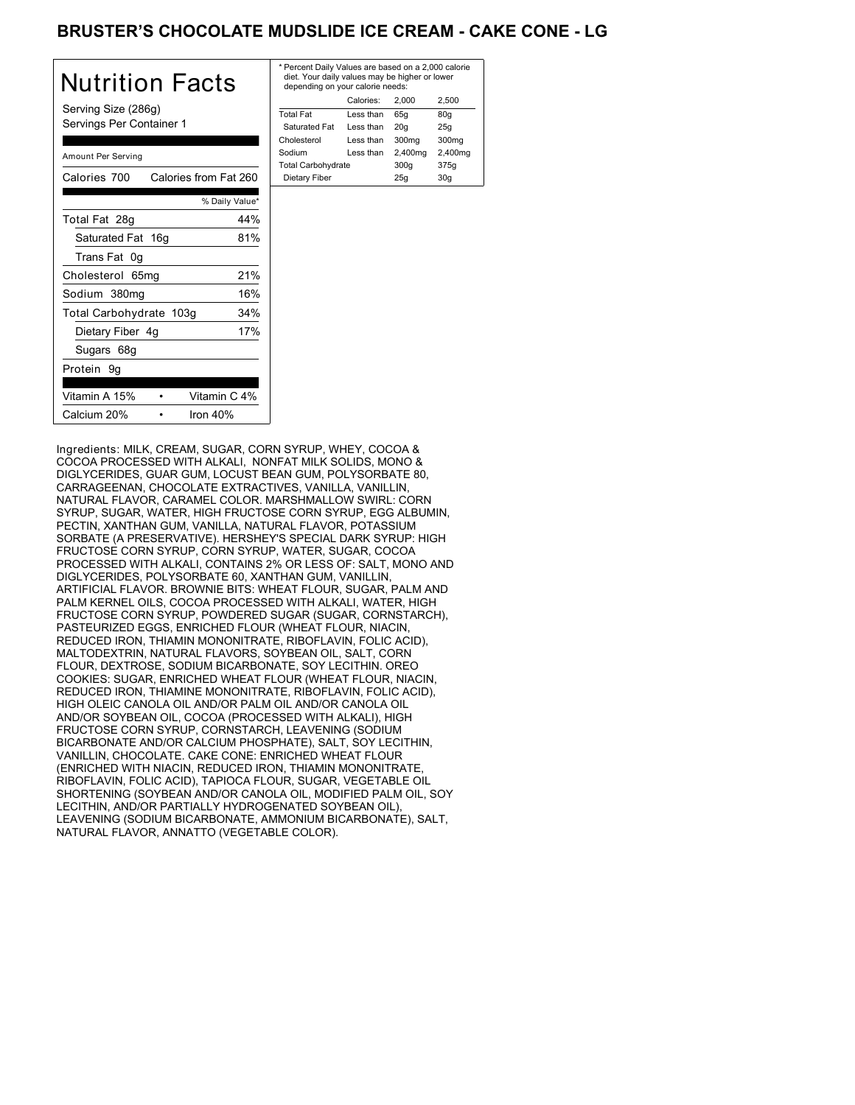# BRUSTER'S CHOCOLATE MUDSLIDE ICE CREAM - CAKE CONE - LG

| Nutrition Facts                                 | * F<br>$\epsilon$ |
|-------------------------------------------------|-------------------|
| Serving Size (286g)<br>Servings Per Container 1 | Тc<br>Ś<br>Cł     |
| Amount Per Serving                              | So<br>Тc          |
| Calories 700<br>Calories from Fat 260           | Г                 |
| % Daily Value*                                  |                   |
| 44%<br>Total Fat 28g                            |                   |
| Saturated Fat 16g<br>81%                        |                   |
| Trans Fat 0g                                    |                   |
| 21%<br>Cholesterol 65mg                         |                   |
| 16%<br>Sodium 380mg                             |                   |
| 34%<br>Total Carbohydrate 103g                  |                   |
| 17%<br>Dietary Fiber 4g                         |                   |
| Sugars 68g                                      |                   |
| Protein 9g                                      |                   |
| Vitamin C 4%<br>Vitamin A 15%                   |                   |
| Calcium 20%<br>Iron $40%$                       |                   |

| * Percent Daily Values are based on a 2,000 calorie<br>diet. Your daily values may be higher or lower<br>depending on your calorie needs: |           |         |         |
|-------------------------------------------------------------------------------------------------------------------------------------------|-----------|---------|---------|
|                                                                                                                                           | Calories: | 2.000   | 2.500   |
| <b>Total Fat</b>                                                                                                                          | Less than | 65q     | 80q     |
| Saturated Fat                                                                                                                             | Less than | 20q     | 25q     |
| Cholesterol                                                                                                                               | Less than | 300mg   | 300mg   |
| Sodium                                                                                                                                    | Less than | 2,400mg | 2,400mg |
| <b>Total Carbohydrate</b>                                                                                                                 |           | 300q    | 375g    |
| Dietary Fiber<br>30q<br>25q                                                                                                               |           |         |         |
|                                                                                                                                           |           |         |         |

Ingredients: MILK, CREAM, SUGAR, CORN SYRUP, WHEY, COCOA & COCOA PROCESSED WITH ALKALI, NONFAT MILK SOLIDS, MONO & DIGLYCERIDES, GUAR GUM, LOCUST BEAN GUM, POLYSORBATE 80, CARRAGEENAN, CHOCOLATE EXTRACTIVES, VANILLA, VANILLIN, NATURAL FLAVOR, CARAMEL COLOR. MARSHMALLOW SWIRL: CORN SYRUP, SUGAR, WATER, HIGH FRUCTOSE CORN SYRUP, EGG ALBUMIN, PECTIN, XANTHAN GUM, VANILLA, NATURAL FLAVOR, POTASSIUM SORBATE (A PRESERVATIVE). HERSHEY'S SPECIAL DARK SYRUP: HIGH FRUCTOSE CORN SYRUP, CORN SYRUP, WATER, SUGAR, COCOA PROCESSED WITH ALKALI, CONTAINS 2% OR LESS OF: SALT, MONO AND DIGLYCERIDES, POLYSORBATE 60, XANTHAN GUM, VANILLIN, ARTIFICIAL FLAVOR. BROWNIE BITS: WHEAT FLOUR, SUGAR, PALM AND PALM KERNEL OILS, COCOA PROCESSED WITH ALKALI, WATER, HIGH FRUCTOSE CORN SYRUP, POWDERED SUGAR (SUGAR, CORNSTARCH), PASTEURIZED EGGS, ENRICHED FLOUR (WHEAT FLOUR, NIACIN, REDUCED IRON, THIAMIN MONONITRATE, RIBOFLAVIN, FOLIC ACID), MALTODEXTRIN, NATURAL FLAVORS, SOYBEAN OIL, SALT, CORN FLOUR, DEXTROSE, SODIUM BICARBONATE, SOY LECITHIN. OREO COOKIES: SUGAR, ENRICHED WHEAT FLOUR (WHEAT FLOUR, NIACIN, REDUCED IRON, THIAMINE MONONITRATE, RIBOFLAVIN, FOLIC ACID), HIGH OLEIC CANOLA OIL AND/OR PALM OIL AND/OR CANOLA OIL AND/OR SOYBEAN OIL, COCOA (PROCESSED WITH ALKALI), HIGH FRUCTOSE CORN SYRUP, CORNSTARCH, LEAVENING (SODIUM BICARBONATE AND/OR CALCIUM PHOSPHATE), SALT, SOY LECITHIN, VANILLIN, CHOCOLATE. CAKE CONE: ENRICHED WHEAT FLOUR (ENRICHED WITH NIACIN, REDUCED IRON, THIAMIN MONONITRATE, RIBOFLAVIN, FOLIC ACID), TAPIOCA FLOUR, SUGAR, VEGETABLE OIL SHORTENING (SOYBEAN AND/OR CANOLA OIL, MODIFIED PALM OIL, SOY LECITHIN, AND/OR PARTIALLY HYDROGENATED SOYBEAN OIL), LEAVENING (SODIUM BICARBONATE, AMMONIUM BICARBONATE), SALT, NATURAL FLAVOR, ANNATTO (VEGETABLE COLOR).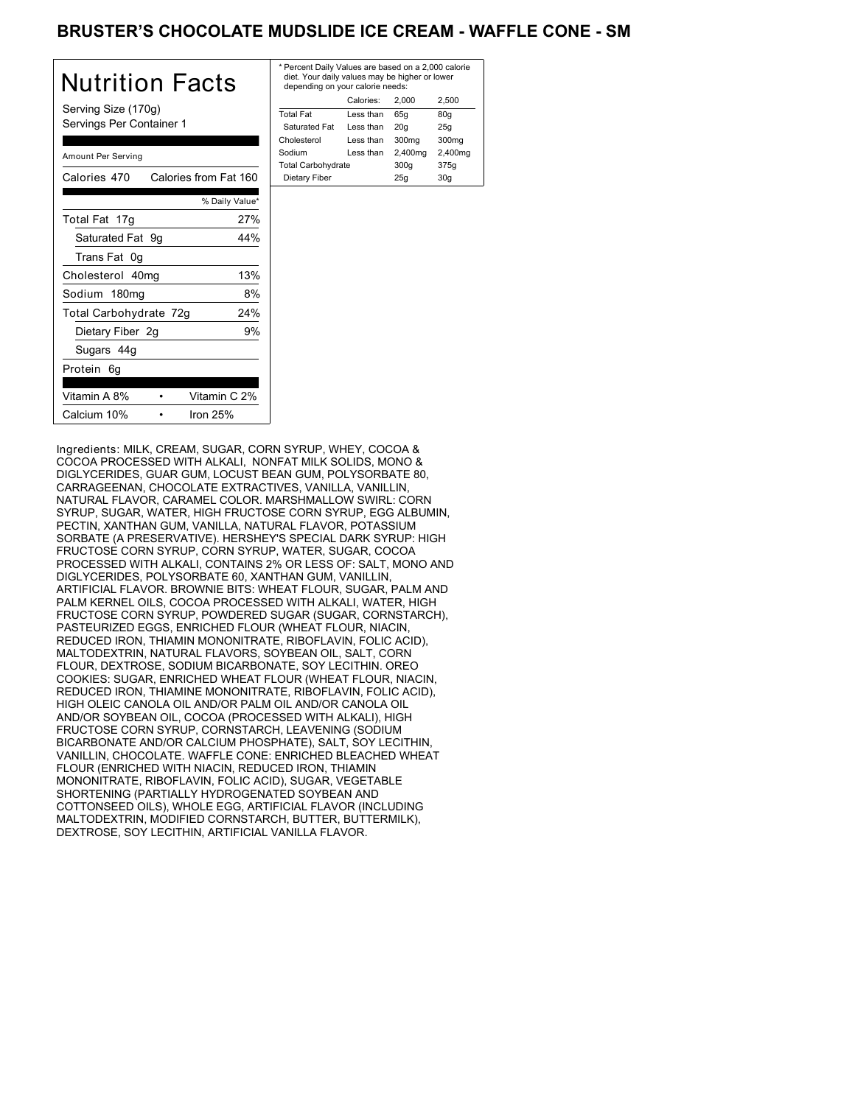## BRUSTER'S CHOCOLATE MUDSLIDE ICE CREAM - WAFFLE CONE - SM

| Nutrition Facts                                 | * Pe<br>die<br>der |
|-------------------------------------------------|--------------------|
| Serving Size (170g)<br>Servings Per Container 1 | Tota<br>Sat<br>Cho |
| Amount Per Serving                              | Sodi<br>Tota       |
| Calories from Fat 160<br>Calories 470           | Die                |
| % Daily Value*                                  |                    |
| 27%<br>Total Fat 17g                            |                    |
| Saturated Fat 9g<br>44%                         |                    |
| Trans Fat 0g                                    |                    |
| 13%<br>Cholesterol 40mg                         |                    |
| Sodium 180mg<br>8%                              |                    |
| Total Carbohydrate 72g<br>24%                   |                    |
| 9%<br>Dietary Fiber 2g                          |                    |
| Sugars 44g                                      |                    |
| Protein 6g                                      |                    |
| Vitamin A 8%<br>Vitamin C 2%                    |                    |
| Iron $25%$<br>Calcium 10%                       |                    |

| * Percent Daily Values are based on a 2,000 calorie<br>diet. Your daily values may be higher or lower<br>depending on your calorie needs: |           |         |         |
|-------------------------------------------------------------------------------------------------------------------------------------------|-----------|---------|---------|
|                                                                                                                                           | Calories: | 2.000   | 2.500   |
| <b>Total Fat</b>                                                                                                                          | Less than | 65q     | 80q     |
| Saturated Fat                                                                                                                             | Less than | 20q     | 25q     |
| Cholesterol                                                                                                                               | Less than | 300mg   | 300mg   |
| Sodium                                                                                                                                    | Less than | 2,400mg | 2,400mg |
| <b>Total Carbohydrate</b>                                                                                                                 |           | 300q    | 375g    |
| Dietary Fiber<br>25q<br>30q                                                                                                               |           |         |         |
|                                                                                                                                           |           |         |         |

Ingredients: MILK, CREAM, SUGAR, CORN SYRUP, WHEY, COCOA & COCOA PROCESSED WITH ALKALI, NONFAT MILK SOLIDS, MONO & DIGLYCERIDES, GUAR GUM, LOCUST BEAN GUM, POLYSORBATE 80, CARRAGEENAN, CHOCOLATE EXTRACTIVES, VANILLA, VANILLIN, NATURAL FLAVOR, CARAMEL COLOR. MARSHMALLOW SWIRL: CORN SYRUP, SUGAR, WATER, HIGH FRUCTOSE CORN SYRUP, EGG ALBUMIN, PECTIN, XANTHAN GUM, VANILLA, NATURAL FLAVOR, POTASSIUM SORBATE (A PRESERVATIVE). HERSHEY'S SPECIAL DARK SYRUP: HIGH FRUCTOSE CORN SYRUP, CORN SYRUP, WATER, SUGAR, COCOA PROCESSED WITH ALKALI, CONTAINS 2% OR LESS OF: SALT, MONO AND DIGLYCERIDES, POLYSORBATE 60, XANTHAN GUM, VANILLIN, ARTIFICIAL FLAVOR. BROWNIE BITS: WHEAT FLOUR, SUGAR, PALM AND PALM KERNEL OILS, COCOA PROCESSED WITH ALKALI, WATER, HIGH FRUCTOSE CORN SYRUP, POWDERED SUGAR (SUGAR, CORNSTARCH), PASTEURIZED EGGS, ENRICHED FLOUR (WHEAT FLOUR, NIACIN, REDUCED IRON, THIAMIN MONONITRATE, RIBOFLAVIN, FOLIC ACID), MALTODEXTRIN, NATURAL FLAVORS, SOYBEAN OIL, SALT, CORN FLOUR, DEXTROSE, SODIUM BICARBONATE, SOY LECITHIN. OREO COOKIES: SUGAR, ENRICHED WHEAT FLOUR (WHEAT FLOUR, NIACIN, REDUCED IRON, THIAMINE MONONITRATE, RIBOFLAVIN, FOLIC ACID), HIGH OLEIC CANOLA OIL AND/OR PALM OIL AND/OR CANOLA OIL AND/OR SOYBEAN OIL, COCOA (PROCESSED WITH ALKALI), HIGH FRUCTOSE CORN SYRUP, CORNSTARCH, LEAVENING (SODIUM BICARBONATE AND/OR CALCIUM PHOSPHATE), SALT, SOY LECITHIN, VANILLIN, CHOCOLATE. WAFFLE CONE: ENRICHED BLEACHED WHEAT FLOUR (ENRICHED WITH NIACIN, REDUCED IRON, THIAMIN MONONITRATE, RIBOFLAVIN, FOLIC ACID), SUGAR, VEGETABLE SHORTENING (PARTIALLY HYDROGENATED SOYBEAN AND COTTONSEED OILS), WHOLE EGG, ARTIFICIAL FLAVOR (INCLUDING MALTODEXTRIN, MODIFIED CORNSTARCH, BUTTER, BUTTERMILK), DEXTROSE, SOY LECITHIN, ARTIFICIAL VANILLA FLAVOR.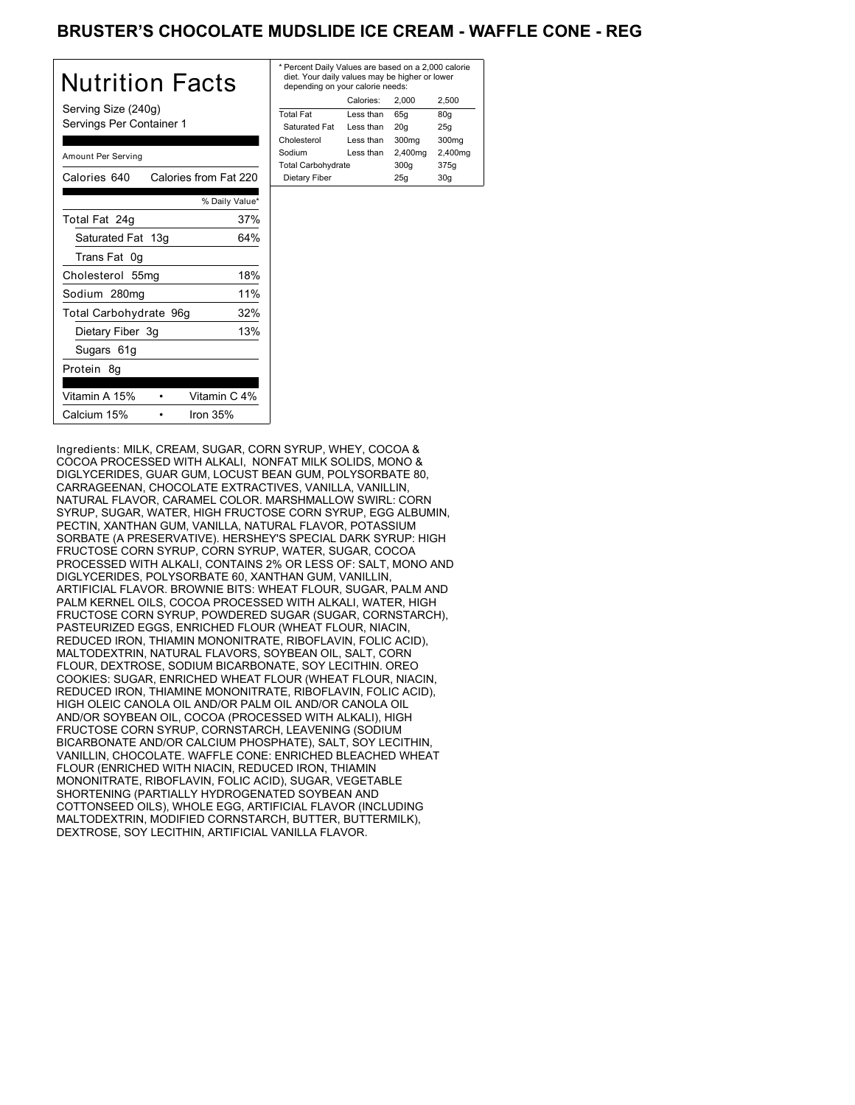## BRUSTER'S CHOCOLATE MUDSLIDE ICE CREAM - WAFFLE CONE - REG

| <b>Nutrition Facts</b>                          | $*$ Pe<br>die<br>de |
|-------------------------------------------------|---------------------|
| Serving Size (240g)<br>Servings Per Container 1 | Tota<br>Sa<br>Cho   |
| Amount Per Serving                              | Soc<br>Tota         |
| Calories 640<br>Calories from Fat 220           | Di                  |
| % Daily Value*                                  |                     |
| 37%<br>Total Fat 24g                            |                     |
| Saturated Fat 13g<br>64%                        |                     |
| Trans Fat 0g                                    |                     |
| 18%<br>Cholesterol 55mg                         |                     |
| 11%<br>Sodium 280mg                             |                     |
| Total Carbohydrate 96g<br>32%                   |                     |
| 13%<br>Dietary Fiber 3g                         |                     |
| Sugars 61g                                      |                     |
| Protein 8q                                      |                     |
| Vitamin C 4%<br>Vitamin A 15%                   |                     |
| Iron $35%$<br>Calcium 15%                       |                     |

| * Percent Daily Values are based on a 2,000 calorie<br>diet. Your daily values may be higher or lower<br>depending on your calorie needs: |         |         |  |  |
|-------------------------------------------------------------------------------------------------------------------------------------------|---------|---------|--|--|
| Calories:<br>2.500<br>2.000                                                                                                               |         |         |  |  |
| Less than                                                                                                                                 | 65q     | 80q     |  |  |
| Less than                                                                                                                                 | 20q     | 25q     |  |  |
| Less than                                                                                                                                 | 300mg   | 300mg   |  |  |
| Less than                                                                                                                                 | 2,400mg | 2,400mg |  |  |
| <b>Total Carbohydrate</b>                                                                                                                 |         | 375g    |  |  |
| Dietary Fiber<br>25q<br>30q                                                                                                               |         |         |  |  |
|                                                                                                                                           |         | 300q    |  |  |

Ingredients: MILK, CREAM, SUGAR, CORN SYRUP, WHEY, COCOA & COCOA PROCESSED WITH ALKALI, NONFAT MILK SOLIDS, MONO & DIGLYCERIDES, GUAR GUM, LOCUST BEAN GUM, POLYSORBATE 80, CARRAGEENAN, CHOCOLATE EXTRACTIVES, VANILLA, VANILLIN, NATURAL FLAVOR, CARAMEL COLOR. MARSHMALLOW SWIRL: CORN SYRUP, SUGAR, WATER, HIGH FRUCTOSE CORN SYRUP, EGG ALBUMIN, PECTIN, XANTHAN GUM, VANILLA, NATURAL FLAVOR, POTASSIUM SORBATE (A PRESERVATIVE). HERSHEY'S SPECIAL DARK SYRUP: HIGH FRUCTOSE CORN SYRUP, CORN SYRUP, WATER, SUGAR, COCOA PROCESSED WITH ALKALI, CONTAINS 2% OR LESS OF: SALT, MONO AND DIGLYCERIDES, POLYSORBATE 60, XANTHAN GUM, VANILLIN, ARTIFICIAL FLAVOR. BROWNIE BITS: WHEAT FLOUR, SUGAR, PALM AND PALM KERNEL OILS, COCOA PROCESSED WITH ALKALI, WATER, HIGH FRUCTOSE CORN SYRUP, POWDERED SUGAR (SUGAR, CORNSTARCH), PASTEURIZED EGGS, ENRICHED FLOUR (WHEAT FLOUR, NIACIN, REDUCED IRON, THIAMIN MONONITRATE, RIBOFLAVIN, FOLIC ACID), MALTODEXTRIN, NATURAL FLAVORS, SOYBEAN OIL, SALT, CORN FLOUR, DEXTROSE, SODIUM BICARBONATE, SOY LECITHIN. OREO COOKIES: SUGAR, ENRICHED WHEAT FLOUR (WHEAT FLOUR, NIACIN, REDUCED IRON, THIAMINE MONONITRATE, RIBOFLAVIN, FOLIC ACID), HIGH OLEIC CANOLA OIL AND/OR PALM OIL AND/OR CANOLA OIL AND/OR SOYBEAN OIL, COCOA (PROCESSED WITH ALKALI), HIGH FRUCTOSE CORN SYRUP, CORNSTARCH, LEAVENING (SODIUM BICARBONATE AND/OR CALCIUM PHOSPHATE), SALT, SOY LECITHIN, VANILLIN, CHOCOLATE. WAFFLE CONE: ENRICHED BLEACHED WHEAT FLOUR (ENRICHED WITH NIACIN, REDUCED IRON, THIAMIN MONONITRATE, RIBOFLAVIN, FOLIC ACID), SUGAR, VEGETABLE SHORTENING (PARTIALLY HYDROGENATED SOYBEAN AND COTTONSEED OILS), WHOLE EGG, ARTIFICIAL FLAVOR (INCLUDING MALTODEXTRIN, MODIFIED CORNSTARCH, BUTTER, BUTTERMILK), DEXTROSE, SOY LECITHIN, ARTIFICIAL VANILLA FLAVOR.